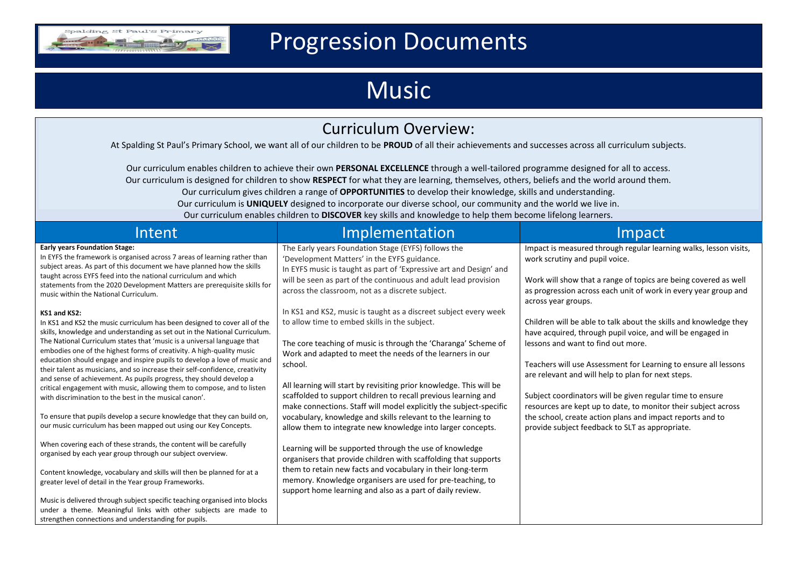

## Progression Documents

## Music

| <b>Curriculum Overview:</b>                                                                                                                                                                                                                                                                                                                                                                                                                                                                                                                                                                                                                                                                                                                                                                                                                                                                                                                                                                                                                                                                                                                                                                                                                                                                                                                                                                                                                                                                                                                                                                     |                                                                                                                                                                                                                                                                                                                                                                                                                                                                                                                                                                                                                                                                                                                                                                                                                                                                                                                                                                                                                                                                                                                                                                                                                                     |                                                                                                                                                                                                                                                                                                                                                                                                                                                                                                                                                                                                                                                                                                                                                                                                                   |  |  |  |  |
|-------------------------------------------------------------------------------------------------------------------------------------------------------------------------------------------------------------------------------------------------------------------------------------------------------------------------------------------------------------------------------------------------------------------------------------------------------------------------------------------------------------------------------------------------------------------------------------------------------------------------------------------------------------------------------------------------------------------------------------------------------------------------------------------------------------------------------------------------------------------------------------------------------------------------------------------------------------------------------------------------------------------------------------------------------------------------------------------------------------------------------------------------------------------------------------------------------------------------------------------------------------------------------------------------------------------------------------------------------------------------------------------------------------------------------------------------------------------------------------------------------------------------------------------------------------------------------------------------|-------------------------------------------------------------------------------------------------------------------------------------------------------------------------------------------------------------------------------------------------------------------------------------------------------------------------------------------------------------------------------------------------------------------------------------------------------------------------------------------------------------------------------------------------------------------------------------------------------------------------------------------------------------------------------------------------------------------------------------------------------------------------------------------------------------------------------------------------------------------------------------------------------------------------------------------------------------------------------------------------------------------------------------------------------------------------------------------------------------------------------------------------------------------------------------------------------------------------------------|-------------------------------------------------------------------------------------------------------------------------------------------------------------------------------------------------------------------------------------------------------------------------------------------------------------------------------------------------------------------------------------------------------------------------------------------------------------------------------------------------------------------------------------------------------------------------------------------------------------------------------------------------------------------------------------------------------------------------------------------------------------------------------------------------------------------|--|--|--|--|
| At Spalding St Paul's Primary School, we want all of our children to be PROUD of all their achievements and successes across all curriculum subjects.                                                                                                                                                                                                                                                                                                                                                                                                                                                                                                                                                                                                                                                                                                                                                                                                                                                                                                                                                                                                                                                                                                                                                                                                                                                                                                                                                                                                                                           |                                                                                                                                                                                                                                                                                                                                                                                                                                                                                                                                                                                                                                                                                                                                                                                                                                                                                                                                                                                                                                                                                                                                                                                                                                     |                                                                                                                                                                                                                                                                                                                                                                                                                                                                                                                                                                                                                                                                                                                                                                                                                   |  |  |  |  |
| Our curriculum enables children to achieve their own PERSONAL EXCELLENCE through a well-tailored programme designed for all to access.<br>Our curriculum is designed for children to show RESPECT for what they are learning, themselves, others, beliefs and the world around them.<br>Our curriculum gives children a range of OPPORTUNITIES to develop their knowledge, skills and understanding.<br>Our curriculum is UNIQUELY designed to incorporate our diverse school, our community and the world we live in.<br>Our curriculum enables children to DISCOVER key skills and knowledge to help them become lifelong learners.                                                                                                                                                                                                                                                                                                                                                                                                                                                                                                                                                                                                                                                                                                                                                                                                                                                                                                                                                           |                                                                                                                                                                                                                                                                                                                                                                                                                                                                                                                                                                                                                                                                                                                                                                                                                                                                                                                                                                                                                                                                                                                                                                                                                                     |                                                                                                                                                                                                                                                                                                                                                                                                                                                                                                                                                                                                                                                                                                                                                                                                                   |  |  |  |  |
| Intent                                                                                                                                                                                                                                                                                                                                                                                                                                                                                                                                                                                                                                                                                                                                                                                                                                                                                                                                                                                                                                                                                                                                                                                                                                                                                                                                                                                                                                                                                                                                                                                          | Implementation                                                                                                                                                                                                                                                                                                                                                                                                                                                                                                                                                                                                                                                                                                                                                                                                                                                                                                                                                                                                                                                                                                                                                                                                                      | Impact                                                                                                                                                                                                                                                                                                                                                                                                                                                                                                                                                                                                                                                                                                                                                                                                            |  |  |  |  |
| <b>Early years Foundation Stage:</b><br>In EYFS the framework is organised across 7 areas of learning rather than<br>subject areas. As part of this document we have planned how the skills<br>taught across EYFS feed into the national curriculum and which<br>statements from the 2020 Development Matters are prerequisite skills for<br>music within the National Curriculum.<br>KS1 and KS2:<br>In KS1 and KS2 the music curriculum has been designed to cover all of the<br>skills, knowledge and understanding as set out in the National Curriculum.<br>The National Curriculum states that 'music is a universal language that<br>embodies one of the highest forms of creativity. A high-quality music<br>education should engage and inspire pupils to develop a love of music and<br>their talent as musicians, and so increase their self-confidence, creativity<br>and sense of achievement. As pupils progress, they should develop a<br>critical engagement with music, allowing them to compose, and to listen<br>with discrimination to the best in the musical canon'.<br>To ensure that pupils develop a secure knowledge that they can build on,<br>our music curriculum has been mapped out using our Key Concepts.<br>When covering each of these strands, the content will be carefully<br>organised by each year group through our subject overview.<br>Content knowledge, vocabulary and skills will then be planned for at a<br>greater level of detail in the Year group Frameworks.<br>Music is delivered through subject specific teaching organised into blocks | The Early years Foundation Stage (EYFS) follows the<br>'Development Matters' in the EYFS guidance.<br>In EYFS music is taught as part of 'Expressive art and Design' and<br>will be seen as part of the continuous and adult lead provision<br>across the classroom, not as a discrete subject.<br>In KS1 and KS2, music is taught as a discreet subject every week<br>to allow time to embed skills in the subject.<br>The core teaching of music is through the 'Charanga' Scheme of<br>Work and adapted to meet the needs of the learners in our<br>school.<br>All learning will start by revisiting prior knowledge. This will be<br>scaffolded to support children to recall previous learning and<br>make connections. Staff will model explicitly the subject-specific<br>vocabulary, knowledge and skills relevant to the learning to<br>allow them to integrate new knowledge into larger concepts.<br>Learning will be supported through the use of knowledge<br>organisers that provide children with scaffolding that supports<br>them to retain new facts and vocabulary in their long-term<br>memory. Knowledge organisers are used for pre-teaching, to<br>support home learning and also as a part of daily review. | Impact is measured through regular learning walks, lesson visits,<br>work scrutiny and pupil voice.<br>Work will show that a range of topics are being covered as well<br>as progression across each unit of work in every year group and<br>across year groups.<br>Children will be able to talk about the skills and knowledge they<br>have acquired, through pupil voice, and will be engaged in<br>lessons and want to find out more.<br>Teachers will use Assessment for Learning to ensure all lessons<br>are relevant and will help to plan for next steps.<br>Subject coordinators will be given regular time to ensure<br>resources are kept up to date, to monitor their subject across<br>the school, create action plans and impact reports and to<br>provide subject feedback to SLT as appropriate. |  |  |  |  |
| under a theme. Meaningful links with other subjects are made to<br>strengthen connections and understanding for pupils.                                                                                                                                                                                                                                                                                                                                                                                                                                                                                                                                                                                                                                                                                                                                                                                                                                                                                                                                                                                                                                                                                                                                                                                                                                                                                                                                                                                                                                                                         |                                                                                                                                                                                                                                                                                                                                                                                                                                                                                                                                                                                                                                                                                                                                                                                                                                                                                                                                                                                                                                                                                                                                                                                                                                     |                                                                                                                                                                                                                                                                                                                                                                                                                                                                                                                                                                                                                                                                                                                                                                                                                   |  |  |  |  |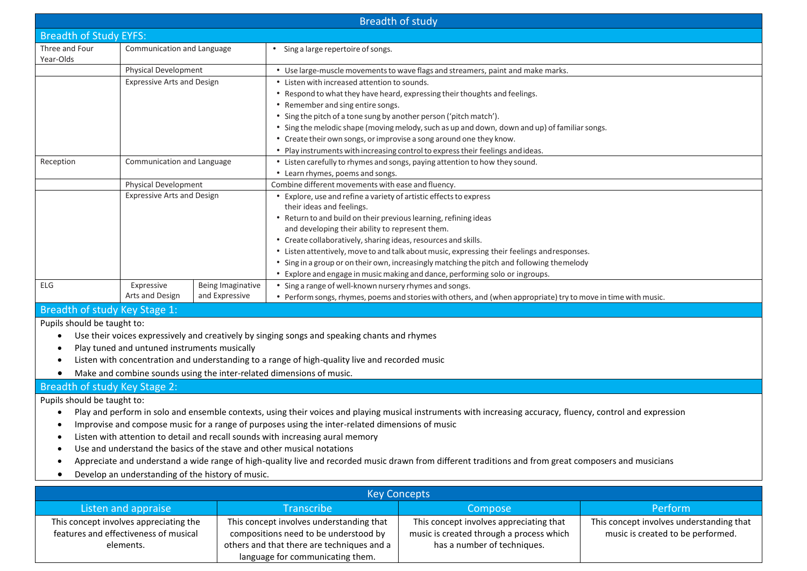|                                                                                                                                                              |                                                                                                 |                   | <b>Breadth of study</b>                                                                                        |  |  |  |
|--------------------------------------------------------------------------------------------------------------------------------------------------------------|-------------------------------------------------------------------------------------------------|-------------------|----------------------------------------------------------------------------------------------------------------|--|--|--|
| <b>Breadth of Study EYFS:</b>                                                                                                                                |                                                                                                 |                   |                                                                                                                |  |  |  |
| Three and Four<br>Year-Olds                                                                                                                                  | Communication and Language                                                                      |                   | Sing a large repertoire of songs.                                                                              |  |  |  |
|                                                                                                                                                              | <b>Physical Development</b>                                                                     |                   | • Use large-muscle movements to wave flags and streamers, paint and make marks.                                |  |  |  |
|                                                                                                                                                              | <b>Expressive Arts and Design</b>                                                               |                   | • Listen with increased attention to sounds.                                                                   |  |  |  |
|                                                                                                                                                              |                                                                                                 |                   | • Respond to what they have heard, expressing their thoughts and feelings.                                     |  |  |  |
|                                                                                                                                                              |                                                                                                 |                   | • Remember and sing entire songs.                                                                              |  |  |  |
|                                                                                                                                                              |                                                                                                 |                   | • Sing the pitch of a tone sung by another person ('pitch match').                                             |  |  |  |
|                                                                                                                                                              |                                                                                                 |                   | • Sing the melodic shape (moving melody, such as up and down, down and up) of familiar songs.                  |  |  |  |
|                                                                                                                                                              |                                                                                                 |                   | • Create their own songs, or improvise a song around one they know.                                            |  |  |  |
|                                                                                                                                                              |                                                                                                 |                   | • Play instruments with increasing control to express their feelings and ideas.                                |  |  |  |
| Reception<br>Communication and Language                                                                                                                      |                                                                                                 |                   | • Listen carefully to rhymes and songs, paying attention to how they sound.                                    |  |  |  |
|                                                                                                                                                              |                                                                                                 |                   | • Learn rhymes, poems and songs.                                                                               |  |  |  |
|                                                                                                                                                              | Physical Development                                                                            |                   | Combine different movements with ease and fluency.                                                             |  |  |  |
|                                                                                                                                                              | <b>Expressive Arts and Design</b>                                                               |                   | • Explore, use and refine a variety of artistic effects to express                                             |  |  |  |
|                                                                                                                                                              |                                                                                                 |                   | their ideas and feelings.                                                                                      |  |  |  |
|                                                                                                                                                              |                                                                                                 |                   | • Return to and build on their previous learning, refining ideas                                               |  |  |  |
|                                                                                                                                                              |                                                                                                 |                   | and developing their ability to represent them.                                                                |  |  |  |
|                                                                                                                                                              |                                                                                                 |                   | • Create collaboratively, sharing ideas, resources and skills.                                                 |  |  |  |
|                                                                                                                                                              |                                                                                                 |                   | • Listen attentively, move to and talk about music, expressing their feelings and responses.                   |  |  |  |
|                                                                                                                                                              |                                                                                                 |                   | • Sing in a group or on their own, increasingly matching the pitch and following themelody                     |  |  |  |
|                                                                                                                                                              |                                                                                                 |                   | • Explore and engage in music making and dance, performing solo or ingroups.                                   |  |  |  |
| <b>ELG</b>                                                                                                                                                   | Expressive                                                                                      | Being Imaginative | • Sing a range of well-known nursery rhymes and songs.                                                         |  |  |  |
|                                                                                                                                                              | Arts and Design                                                                                 | and Expressive    | • Perform songs, rhymes, poems and stories with others, and (when appropriate) try to move in time with music. |  |  |  |
| Breadth of study Key Stage 1:                                                                                                                                |                                                                                                 |                   |                                                                                                                |  |  |  |
| Pupils should be taught to:                                                                                                                                  |                                                                                                 |                   |                                                                                                                |  |  |  |
|                                                                                                                                                              |                                                                                                 |                   | Use their voices expressively and creatively by singing songs and speaking chants and rhymes                   |  |  |  |
| $\bullet$                                                                                                                                                    | Play tuned and untuned instruments musically                                                    |                   |                                                                                                                |  |  |  |
| $\bullet$                                                                                                                                                    | Listen with concentration and understanding to a range of high-quality live and recorded music  |                   |                                                                                                                |  |  |  |
| Make and combine sounds using the inter-related dimensions of music.                                                                                         |                                                                                                 |                   |                                                                                                                |  |  |  |
| Breadth of study Key Stage 2:                                                                                                                                |                                                                                                 |                   |                                                                                                                |  |  |  |
| Pupils should be taught to:                                                                                                                                  |                                                                                                 |                   |                                                                                                                |  |  |  |
| Play and perform in solo and ensemble contexts, using their voices and playing musical instruments with increasing accuracy, fluency, control and expression |                                                                                                 |                   |                                                                                                                |  |  |  |
|                                                                                                                                                              | Improvise and compose music for a range of purposes using the inter-related dimensions of music |                   |                                                                                                                |  |  |  |
|                                                                                                                                                              | Listen with attention to detail and recall sounds with increasing aural memory                  |                   |                                                                                                                |  |  |  |
|                                                                                                                                                              |                                                                                                 |                   | Use and understand the basics of the stave and other musical notations                                         |  |  |  |
| Appreciate and understand a wide range of high-quality live and recorded music drawn from different traditions and from great composers and musicians        |                                                                                                 |                   |                                                                                                                |  |  |  |
| $\bullet$                                                                                                                                                    | Develop an understanding of the history of music.                                               |                   |                                                                                                                |  |  |  |

| <b>Key Concepts</b>                    |                                            |                                          |                                          |  |  |  |
|----------------------------------------|--------------------------------------------|------------------------------------------|------------------------------------------|--|--|--|
| Listen and appraise                    | Transcribe                                 | <b>Compose</b>                           | Perform                                  |  |  |  |
| This concept involves appreciating the | This concept involves understanding that   | This concept involves appreciating that  | This concept involves understanding that |  |  |  |
| features and effectiveness of musical  | compositions need to be understood by      | music is created through a process which | music is created to be performed.        |  |  |  |
| elements.                              | others and that there are techniques and a | has a number of techniques.              |                                          |  |  |  |
|                                        | language for communicating them.           |                                          |                                          |  |  |  |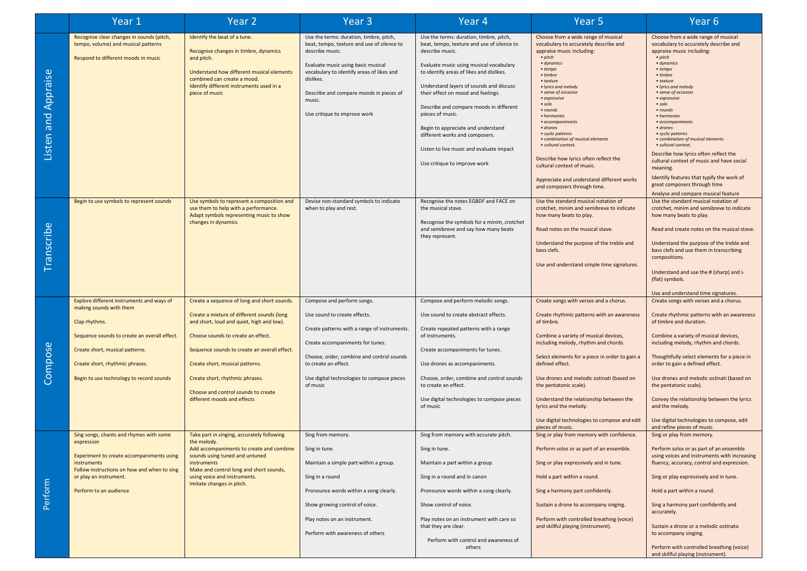|                     | Year 1                                                                                                                                                                                                                                                  | Year <sub>2</sub>                                                                                                                                                                                                                                                                                                                                                        | Year <sub>3</sub>                                                                                                                                                                                                                                                                             | Year 4                                                                                                                                                                                                                                                                                                                                                                                                                                                                                              | Year <sub>5</sub>                                                                                                                                                                                                                                                                                                                                                                                                                                                                                                                                   | Year <sub>6</sub>                                                                                                                                                                                                                                                                                                                                                                                                                                                                                                                                                                                                        |
|---------------------|---------------------------------------------------------------------------------------------------------------------------------------------------------------------------------------------------------------------------------------------------------|--------------------------------------------------------------------------------------------------------------------------------------------------------------------------------------------------------------------------------------------------------------------------------------------------------------------------------------------------------------------------|-----------------------------------------------------------------------------------------------------------------------------------------------------------------------------------------------------------------------------------------------------------------------------------------------|-----------------------------------------------------------------------------------------------------------------------------------------------------------------------------------------------------------------------------------------------------------------------------------------------------------------------------------------------------------------------------------------------------------------------------------------------------------------------------------------------------|-----------------------------------------------------------------------------------------------------------------------------------------------------------------------------------------------------------------------------------------------------------------------------------------------------------------------------------------------------------------------------------------------------------------------------------------------------------------------------------------------------------------------------------------------------|--------------------------------------------------------------------------------------------------------------------------------------------------------------------------------------------------------------------------------------------------------------------------------------------------------------------------------------------------------------------------------------------------------------------------------------------------------------------------------------------------------------------------------------------------------------------------------------------------------------------------|
| Listen and Appraise | Recognise clear changes in sounds (pitch,<br>tempo, volume) and musical patterns<br>Respond to different moods in music                                                                                                                                 | Identify the beat of a tune.<br>Recognise changes in timbre, dynamics<br>and pitch.<br>Understand how different musical elements<br>combined can create a mood.<br>Identify different instruments used in a<br>piece of music                                                                                                                                            | Use the terms: duration, timbre, pitch,<br>beat, tempo, texture and use of silence to<br>describe music.<br>Evaluate music using basic musical<br>vocabulary to identify areas of likes and<br>dislikes.<br>Describe and compare moods in pieces of<br>music.<br>Use critique to improve work | Use the terms: duration, timbre, pitch,<br>beat, tempo, texture and use of silence to<br>describe music.<br>Evaluate music using musical vocabulary<br>to identify areas of likes and dislikes.<br>Understand layers of sounds and discuss<br>their effect on mood and feelings.<br>Describe and compare moods in different<br>pieces of music.<br>Begin to appreciate and understand<br>different works and composers.<br>Listen to live music and evaluate impact<br>Use critique to improve work | Choose from a wide range of musical<br>vocabulary to accurately describe and<br>appraise music including:<br>• pitch<br>· dynamics<br>• tempo<br>• timbre<br>• texture<br>· lyrics and melody<br>• sense of occasion<br>• expressive<br>$\cdot$ solo<br>• rounds<br>• harmonies<br>• accompaniments<br>· drones<br>• cyclic patterns<br>• combination of musical elements<br>· cultural context.<br>Describe how lyrics often reflect the<br>cultural context of music.<br>Appreciate and understand different works<br>and composers through time. | Choose from a wide range of musical<br>vocabulary to accurately describe and<br>appraise music including:<br>• pitch<br>• dynamics<br>$•$ tempo<br>• timbre<br>• texture<br>• lyrics and melody<br>• sense of occasion<br>• expressive<br>$\cdot$ solo<br>• rounds<br>• harmonies<br>• accompaniments<br>• drones<br>• cyclic patterns<br>• combination of musical elements<br>· cultural context.<br>Describe how lyrics often reflect the<br>cultural context of music and have social<br>meaning.<br>Identify features that typify the work of<br>great composers through time<br>Analyse and compare musical feature |
| Transcribe          | Begin to use symbols to represent sounds                                                                                                                                                                                                                | Use symbols to represent a composition and<br>use them to help with a performance.<br>Adapt symbols representing music to show<br>changes in dynamics                                                                                                                                                                                                                    | Devise non-standard symbols to indicate<br>when to play and rest.                                                                                                                                                                                                                             | Recognise the notes EGBDF and FACE on<br>the musical stave.<br>Recognise the symbols for a minim, crotchet<br>and semibreve and say how many beats<br>they represent.                                                                                                                                                                                                                                                                                                                               | Use the standard musical notation of<br>crotchet, minim and semibreve to indicate<br>how many beats to play.<br>Read notes on the musical stave.<br>Understand the purpose of the treble and<br>bass clefs.<br>Use and understand simple time signatures.                                                                                                                                                                                                                                                                                           | Use the standard musical notation of<br>crotchet, minim and semibreve to indicate<br>how many beats to play.<br>Read and create notes on the musical stave<br>Understand the purpose of the treble and<br>bass clefs and use them in transcribing<br>compositions.<br>Understand and use the # (sharp) and b<br>(flat) symbols.<br>Use and understand time signatures.                                                                                                                                                                                                                                                   |
| Compose             | Explore different instruments and ways of<br>making sounds with them<br>Clap rhythms.<br>Sequence sounds to create an overall effect.<br>Create short, musical patterns.<br>Create short, rhythmic phrases.<br>Begin to use technology to record sounds | Create a sequence of long and short sounds.<br>Create a mixture of different sounds (long<br>and short, loud and quiet, high and low).<br>Choose sounds to create an effect.<br>Sequence sounds to create an overall effect.<br>Create short, musical patterns.<br>Create short, rhythmic phrases.<br>Choose and control sounds to create<br>different moods and effects | Compose and perform songs.<br>Use sound to create effects.<br>Create patterns with a range of instruments.<br>Create accompaniments for tunes.<br>Choose, order, combine and control sounds<br>to create an effect.<br>Use digital technologies to compose pieces<br>of music                 | Compose and perform melodic songs.<br>Use sound to create abstract effects.<br>Create repeated patterns with a range<br>of instruments.<br>Create accompaniments for tunes.<br>Use drones as accompaniments.<br>Choose, order, combine and control sounds<br>to create an effect.<br>Use digital technologies to compose pieces<br>of music                                                                                                                                                         | Create songs with verses and a chorus.<br>Create rhythmic patterns with an awareness<br>of timbre.<br>Combine a variety of musical devices,<br>including melody, rhythm and chords.<br>Select elements for a piece in order to gain a<br>defined effect.<br>Use drones and melodic ostinati (based on<br>the pentatonic scale).<br>Understand the relationship between the<br>lyrics and the melody.<br>Use digital technologies to compose and edit<br>pieces of music.                                                                            | Create songs with verses and a chorus.<br>Create rhythmic patterns with an awareness<br>of timbre and duration.<br>Combine a variety of musical devices,<br>including melody, rhythm and chords.<br>Thoughtfully select elements for a piece in<br>order to gain a defined effect.<br>Use drones and melodic ostinati (based on<br>the pentatonic scale).<br>Convey the relationship between the lyrics<br>and the melody.<br>Use digital technologies to compose, edit<br>and refine pieces of music.                                                                                                                   |
| Perform             | Sing songs, chants and rhymes with some<br>expression<br>Experiment to create accompaniments using<br>instruments<br>Follow instructions on how and when to sing<br>or play an instrument.<br>Perform to an audience                                    | Take part in singing, accurately following<br>the melody.<br>Add accompaniments to create and combine<br>sounds using tuned and untuned<br>instruments<br>Make and control long and short sounds,<br>using voice and instruments.<br>Imitate changes in pitch.                                                                                                           | Sing from memory.<br>Sing in tune.<br>Maintain a simple part within a group.<br>Sing in a round<br>Pronounce words within a song clearly.<br>Show growing control of voice.<br>Play notes on an instrument.<br>Perform with awareness of others                                               | Sing from memory with accurate pitch.<br>Sing in tune.<br>Maintain a part within a group.<br>Sing in a round and in canon<br>Pronounce words within a song clearly.<br>Show control of voice.<br>Play notes on an instrument with care so<br>that they are clear.<br>Perform with control and awareness of<br>others                                                                                                                                                                                | Sing or play from memory with confidence.<br>Perform solos or as part of an ensemble.<br>Sing or play expressively and in tune.<br>Hold a part within a round.<br>Sing a harmony part confidently.<br>Sustain a drone to accompany singing.<br>Perform with controlled breathing (voice)<br>and skillful playing (instrument).                                                                                                                                                                                                                      | Sing or play from memory.<br>Perform solos or as part of an ensemble<br>using voices and instruments with increasing<br>fluency, accuracy, control and expression.<br>Sing or play expressively and in tune.<br>Hold a part within a round.<br>Sing a harmony part confidently and<br>accurately.<br>Sustain a drone or a melodic ostinato<br>to accompany singing.<br>Perform with controlled breathing (voice)<br>and skillful playing (instrument).                                                                                                                                                                   |